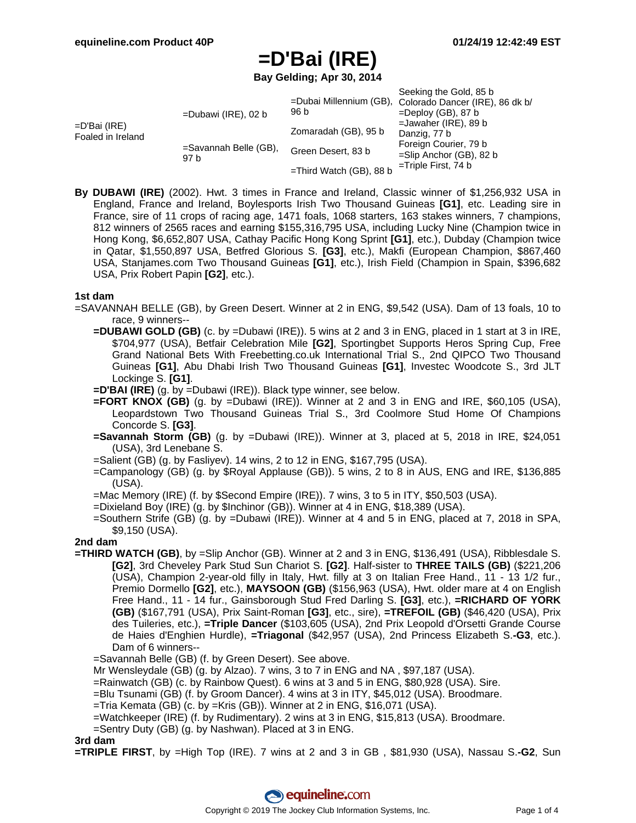**Bay Gelding; Apr 30, 2014**

| =D'Bai (IRE)<br>Foaled in Ireland | $=$ Dubawi (IRE), 02 b<br>=Savannah Belle (GB),<br>97 b | 96 b<br>Zomaradah (GB), 95 b<br>Green Desert, 83 b | Seeking the Gold, 85 b<br>=Dubai Millennium (GB), Colorado Dancer (IRE), 86 dk b/<br>$=$ Deploy (GB), 87 b<br>$=$ Jawaher (IRE), 89 b<br>Danzig, 77 b<br>Foreign Courier, 79 b<br>$=$ Slip Anchor (GB), 82 b<br>$=$ Triple First, 74 b |
|-----------------------------------|---------------------------------------------------------|----------------------------------------------------|----------------------------------------------------------------------------------------------------------------------------------------------------------------------------------------------------------------------------------------|
|                                   |                                                         | $=$ Third Watch (GB), 88 b                         |                                                                                                                                                                                                                                        |

**By DUBAWI (IRE)** (2002). Hwt. 3 times in France and Ireland, Classic winner of \$1,256,932 USA in England, France and Ireland, Boylesports Irish Two Thousand Guineas **[G1]**, etc. Leading sire in France, sire of 11 crops of racing age, 1471 foals, 1068 starters, 163 stakes winners, 7 champions, 812 winners of 2565 races and earning \$155,316,795 USA, including Lucky Nine (Champion twice in Hong Kong, \$6,652,807 USA, Cathay Pacific Hong Kong Sprint **[G1]**, etc.), Dubday (Champion twice in Qatar, \$1,550,897 USA, Betfred Glorious S. **[G3]**, etc.), Makfi (European Champion, \$867,460 USA, Stanjames.com Two Thousand Guineas **[G1]**, etc.), Irish Field (Champion in Spain, \$396,682 USA, Prix Robert Papin **[G2]**, etc.).

### **1st dam**

- =SAVANNAH BELLE (GB), by Green Desert. Winner at 2 in ENG, \$9,542 (USA). Dam of 13 foals, 10 to race, 9 winners--
	- **=DUBAWI GOLD (GB)** (c. by =Dubawi (IRE)). 5 wins at 2 and 3 in ENG, placed in 1 start at 3 in IRE, \$704,977 (USA), Betfair Celebration Mile **[G2]**, Sportingbet Supports Heros Spring Cup, Free Grand National Bets With Freebetting.co.uk International Trial S., 2nd QIPCO Two Thousand Guineas **[G1]**, Abu Dhabi Irish Two Thousand Guineas **[G1]**, Investec Woodcote S., 3rd JLT Lockinge S. **[G1]**.
	- **=D'BAI (IRE)** (g. by =Dubawi (IRE)). Black type winner, see below.
	- **=FORT KNOX (GB)** (g. by =Dubawi (IRE)). Winner at 2 and 3 in ENG and IRE, \$60,105 (USA), Leopardstown Two Thousand Guineas Trial S., 3rd Coolmore Stud Home Of Champions Concorde S. **[G3]**.
	- **=Savannah Storm (GB)** (g. by =Dubawi (IRE)). Winner at 3, placed at 5, 2018 in IRE, \$24,051 (USA), 3rd Lenebane S.
	- =Salient (GB) (g. by Fasliyev). 14 wins, 2 to 12 in ENG, \$167,795 (USA).
	- =Campanology (GB) (g. by \$Royal Applause (GB)). 5 wins, 2 to 8 in AUS, ENG and IRE, \$136,885 (USA).
	- =Mac Memory (IRE) (f. by \$Second Empire (IRE)). 7 wins, 3 to 5 in ITY, \$50,503 (USA).
	- =Dixieland Boy (IRE) (g. by \$Inchinor (GB)). Winner at 4 in ENG, \$18,389 (USA).
	- =Southern Strife (GB) (g. by =Dubawi (IRE)). Winner at 4 and 5 in ENG, placed at 7, 2018 in SPA, \$9,150 (USA).

#### **2nd dam**

**=THIRD WATCH (GB)**, by =Slip Anchor (GB). Winner at 2 and 3 in ENG, \$136,491 (USA), Ribblesdale S. **[G2]**, 3rd Cheveley Park Stud Sun Chariot S. **[G2]**. Half-sister to **THREE TAILS (GB)** (\$221,206 (USA), Champion 2-year-old filly in Italy, Hwt. filly at 3 on Italian Free Hand., 11 - 13 1/2 fur., Premio Dormello **[G2]**, etc.), **MAYSOON (GB)** (\$156,963 (USA), Hwt. older mare at 4 on English Free Hand., 11 - 14 fur., Gainsborough Stud Fred Darling S. **[G3]**, etc.), **=RICHARD OF YORK (GB)** (\$167,791 (USA), Prix Saint-Roman **[G3]**, etc., sire), **=TREFOIL (GB)** (\$46,420 (USA), Prix des Tuileries, etc.), **=Triple Dancer** (\$103,605 (USA), 2nd Prix Leopold d'Orsetti Grande Course de Haies d'Enghien Hurdle), **=Triagonal** (\$42,957 (USA), 2nd Princess Elizabeth S.**-G3**, etc.). Dam of 6 winners--

=Savannah Belle (GB) (f. by Green Desert). See above.

Mr Wensleydale (GB) (g. by Alzao). 7 wins, 3 to 7 in ENG and NA , \$97,187 (USA).

- =Rainwatch (GB) (c. by Rainbow Quest). 6 wins at 3 and 5 in ENG, \$80,928 (USA). Sire.
- =Blu Tsunami (GB) (f. by Groom Dancer). 4 wins at 3 in ITY, \$45,012 (USA). Broodmare.
- =Tria Kemata (GB) (c. by =Kris (GB)). Winner at 2 in ENG, \$16,071 (USA).
- =Watchkeeper (IRE) (f. by Rudimentary). 2 wins at 3 in ENG, \$15,813 (USA). Broodmare.
- =Sentry Duty (GB) (g. by Nashwan). Placed at 3 in ENG.

### **3rd dam**

**=TRIPLE FIRST**, by =High Top (IRE). 7 wins at 2 and 3 in GB , \$81,930 (USA), Nassau S.**-G2**, Sun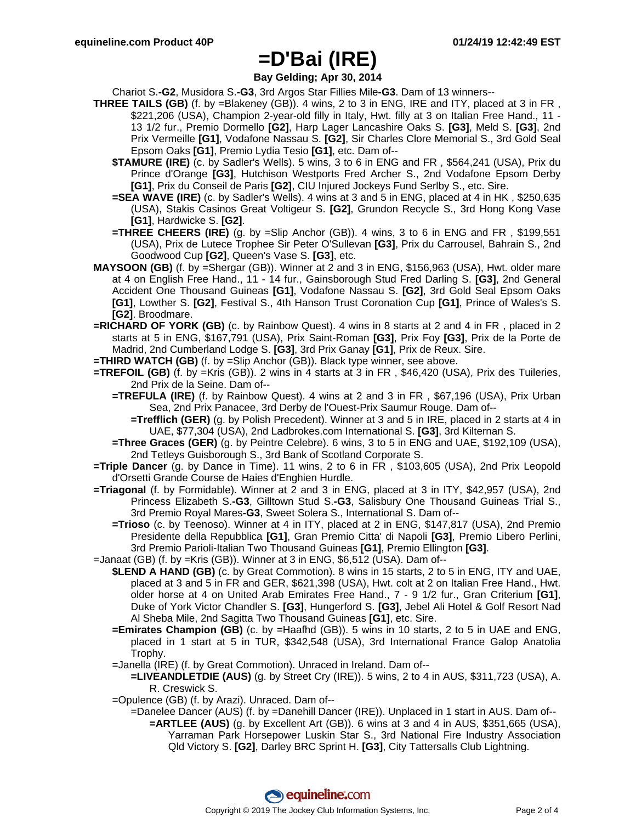**Bay Gelding; Apr 30, 2014**

Chariot S.**-G2**, Musidora S.**-G3**, 3rd Argos Star Fillies Mile**-G3**. Dam of 13 winners--

- **THREE TAILS (GB)** (f. by =Blakeney (GB)). 4 wins, 2 to 3 in ENG, IRE and ITY, placed at 3 in FR , \$221,206 (USA), Champion 2-year-old filly in Italy, Hwt. filly at 3 on Italian Free Hand., 11 -13 1/2 fur., Premio Dormello **[G2]**, Harp Lager Lancashire Oaks S. **[G3]**, Meld S. **[G3]**, 2nd Prix Vermeille **[G1]**, Vodafone Nassau S. **[G2]**, Sir Charles Clore Memorial S., 3rd Gold Seal Epsom Oaks **[G1]**, Premio Lydia Tesio **[G1]**, etc. Dam of--
	- **\$TAMURE (IRE)** (c. by Sadler's Wells). 5 wins, 3 to 6 in ENG and FR , \$564,241 (USA), Prix du Prince d'Orange **[G3]**, Hutchison Westports Fred Archer S., 2nd Vodafone Epsom Derby **[G1]**, Prix du Conseil de Paris **[G2]**, CIU Injured Jockeys Fund Serlby S., etc. Sire.
	- **=SEA WAVE (IRE)** (c. by Sadler's Wells). 4 wins at 3 and 5 in ENG, placed at 4 in HK , \$250,635 (USA), Stakis Casinos Great Voltigeur S. **[G2]**, Grundon Recycle S., 3rd Hong Kong Vase **[G1]**, Hardwicke S. **[G2]**.
	- **=THREE CHEERS (IRE)** (g. by =Slip Anchor (GB)). 4 wins, 3 to 6 in ENG and FR , \$199,551 (USA), Prix de Lutece Trophee Sir Peter O'Sullevan **[G3]**, Prix du Carrousel, Bahrain S., 2nd Goodwood Cup **[G2]**, Queen's Vase S. **[G3]**, etc.
- **MAYSOON (GB)** (f. by =Shergar (GB)). Winner at 2 and 3 in ENG, \$156,963 (USA), Hwt. older mare at 4 on English Free Hand., 11 - 14 fur., Gainsborough Stud Fred Darling S. **[G3]**, 2nd General Accident One Thousand Guineas **[G1]**, Vodafone Nassau S. **[G2]**, 3rd Gold Seal Epsom Oaks **[G1]**, Lowther S. **[G2]**, Festival S., 4th Hanson Trust Coronation Cup **[G1]**, Prince of Wales's S. **[G2]**. Broodmare.
- **=RICHARD OF YORK (GB)** (c. by Rainbow Quest). 4 wins in 8 starts at 2 and 4 in FR , placed in 2 starts at 5 in ENG, \$167,791 (USA), Prix Saint-Roman **[G3]**, Prix Foy **[G3]**, Prix de la Porte de Madrid, 2nd Cumberland Lodge S. **[G3]**, 3rd Prix Ganay **[G1]**, Prix de Reux. Sire.
- **=THIRD WATCH (GB)** (f. by =Slip Anchor (GB)). Black type winner, see above.
- **=TREFOIL (GB)** (f. by =Kris (GB)). 2 wins in 4 starts at 3 in FR , \$46,420 (USA), Prix des Tuileries, 2nd Prix de la Seine. Dam of--
	- **=TREFULA (IRE)** (f. by Rainbow Quest). 4 wins at 2 and 3 in FR , \$67,196 (USA), Prix Urban Sea, 2nd Prix Panacee, 3rd Derby de l'Ouest-Prix Saumur Rouge. Dam of--
		- **=Trefflich (GER)** (g. by Polish Precedent). Winner at 3 and 5 in IRE, placed in 2 starts at 4 in UAE, \$77,304 (USA), 2nd Ladbrokes.com International S. **[G3]**, 3rd Kilternan S.
	- **=Three Graces (GER)** (g. by Peintre Celebre). 6 wins, 3 to 5 in ENG and UAE, \$192,109 (USA), 2nd Tetleys Guisborough S., 3rd Bank of Scotland Corporate S.
- **=Triple Dancer** (g. by Dance in Time). 11 wins, 2 to 6 in FR , \$103,605 (USA), 2nd Prix Leopold d'Orsetti Grande Course de Haies d'Enghien Hurdle.
- **=Triagonal** (f. by Formidable). Winner at 2 and 3 in ENG, placed at 3 in ITY, \$42,957 (USA), 2nd Princess Elizabeth S.**-G3**, Gilltown Stud S.**-G3**, Salisbury One Thousand Guineas Trial S., 3rd Premio Royal Mares**-G3**, Sweet Solera S., International S. Dam of--
	- **=Trioso** (c. by Teenoso). Winner at 4 in ITY, placed at 2 in ENG, \$147,817 (USA), 2nd Premio Presidente della Repubblica **[G1]**, Gran Premio Citta' di Napoli **[G3]**, Premio Libero Perlini, 3rd Premio Parioli-Italian Two Thousand Guineas **[G1]**, Premio Ellington **[G3]**.
- =Janaat (GB) (f. by =Kris (GB)). Winner at 3 in ENG, \$6,512 (USA). Dam of--
	- **\$LEND A HAND (GB)** (c. by Great Commotion). 8 wins in 15 starts, 2 to 5 in ENG, ITY and UAE, placed at 3 and 5 in FR and GER, \$621,398 (USA), Hwt. colt at 2 on Italian Free Hand., Hwt. older horse at 4 on United Arab Emirates Free Hand., 7 - 9 1/2 fur., Gran Criterium **[G1]**, Duke of York Victor Chandler S. **[G3]**, Hungerford S. **[G3]**, Jebel Ali Hotel & Golf Resort Nad Al Sheba Mile, 2nd Sagitta Two Thousand Guineas **[G1]**, etc. Sire.
	- **=Emirates Champion (GB)** (c. by =Haafhd (GB)). 5 wins in 10 starts, 2 to 5 in UAE and ENG, placed in 1 start at 5 in TUR, \$342,548 (USA), 3rd International France Galop Anatolia Trophy.
	- =Janella (IRE) (f. by Great Commotion). Unraced in Ireland. Dam of--

**=LIVEANDLETDIE (AUS)** (g. by Street Cry (IRE)). 5 wins, 2 to 4 in AUS, \$311,723 (USA), A. R. Creswick S.

- =Opulence (GB) (f. by Arazi). Unraced. Dam of--
	- =Danelee Dancer (AUS) (f. by =Danehill Dancer (IRE)). Unplaced in 1 start in AUS. Dam of-- **=ARTLEE (AUS)** (g. by Excellent Art (GB)). 6 wins at 3 and 4 in AUS, \$351,665 (USA), Yarraman Park Horsepower Luskin Star S., 3rd National Fire Industry Association Qld Victory S. **[G2]**, Darley BRC Sprint H. **[G3]**, City Tattersalls Club Lightning.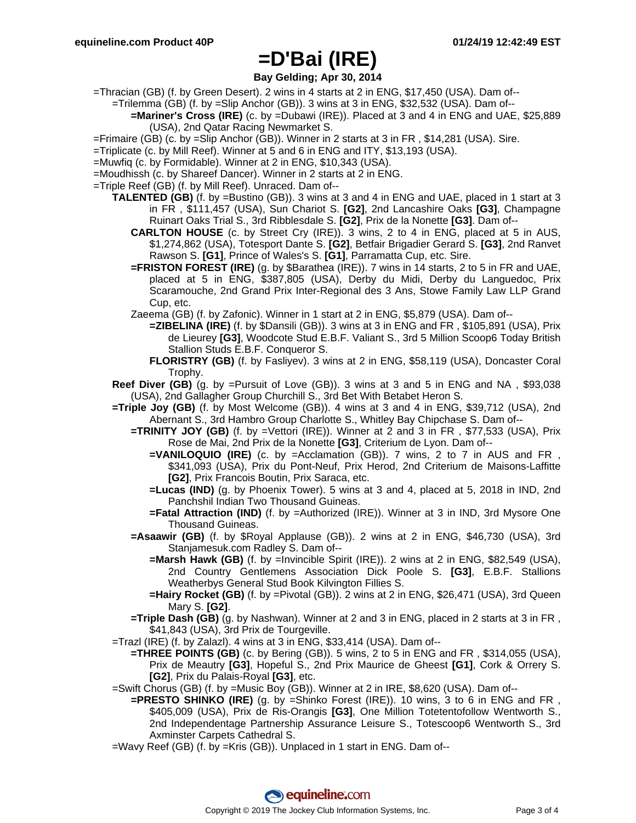**Bay Gelding; Apr 30, 2014**

=Thracian (GB) (f. by Green Desert). 2 wins in 4 starts at 2 in ENG, \$17,450 (USA). Dam of--

=Trilemma (GB) (f. by =Slip Anchor (GB)). 3 wins at 3 in ENG, \$32,532 (USA). Dam of--

- **=Mariner's Cross (IRE)** (c. by =Dubawi (IRE)). Placed at 3 and 4 in ENG and UAE, \$25,889 (USA), 2nd Qatar Racing Newmarket S.
- =Frimaire (GB) (c. by =Slip Anchor (GB)). Winner in 2 starts at 3 in FR , \$14,281 (USA). Sire.
- =Triplicate (c. by Mill Reef). Winner at 5 and 6 in ENG and ITY, \$13,193 (USA).
- =Muwfiq (c. by Formidable). Winner at 2 in ENG, \$10,343 (USA).
- =Moudhissh (c. by Shareef Dancer). Winner in 2 starts at 2 in ENG.
- =Triple Reef (GB) (f. by Mill Reef). Unraced. Dam of--
	- **TALENTED (GB)** (f. by =Bustino (GB)). 3 wins at 3 and 4 in ENG and UAE, placed in 1 start at 3 in FR , \$111,457 (USA), Sun Chariot S. **[G2]**, 2nd Lancashire Oaks **[G3]**, Champagne Ruinart Oaks Trial S., 3rd Ribblesdale S. **[G2]**, Prix de la Nonette **[G3]**. Dam of--
		- **CARLTON HOUSE** (c. by Street Cry (IRE)). 3 wins, 2 to 4 in ENG, placed at 5 in AUS, \$1,274,862 (USA), Totesport Dante S. **[G2]**, Betfair Brigadier Gerard S. **[G3]**, 2nd Ranvet Rawson S. **[G1]**, Prince of Wales's S. **[G1]**, Parramatta Cup, etc. Sire.
		- **=FRISTON FOREST (IRE)** (g. by \$Barathea (IRE)). 7 wins in 14 starts, 2 to 5 in FR and UAE, placed at 5 in ENG, \$387,805 (USA), Derby du Midi, Derby du Languedoc, Prix Scaramouche, 2nd Grand Prix Inter-Regional des 3 Ans, Stowe Family Law LLP Grand Cup, etc.

Zaeema (GB) (f. by Zafonic). Winner in 1 start at 2 in ENG, \$5,879 (USA). Dam of--

- **=ZIBELINA (IRE)** (f. by \$Dansili (GB)). 3 wins at 3 in ENG and FR , \$105,891 (USA), Prix de Lieurey **[G3]**, Woodcote Stud E.B.F. Valiant S., 3rd 5 Million Scoop6 Today British Stallion Studs E.B.F. Conqueror S.
- **FLORISTRY (GB)** (f. by Fasliyev). 3 wins at 2 in ENG, \$58,119 (USA), Doncaster Coral Trophy.
- **Reef Diver (GB)** (g. by =Pursuit of Love (GB)). 3 wins at 3 and 5 in ENG and NA , \$93,038 (USA), 2nd Gallagher Group Churchill S., 3rd Bet With Betabet Heron S.
- **=Triple Joy (GB)** (f. by Most Welcome (GB)). 4 wins at 3 and 4 in ENG, \$39,712 (USA), 2nd Abernant S., 3rd Hambro Group Charlotte S., Whitley Bay Chipchase S. Dam of--
	- **=TRINITY JOY (GB)** (f. by =Vettori (IRE)). Winner at 2 and 3 in FR , \$77,533 (USA), Prix Rose de Mai, 2nd Prix de la Nonette **[G3]**, Criterium de Lyon. Dam of--
		- **=VANILOQUIO (IRE)** (c. by =Acclamation (GB)). 7 wins, 2 to 7 in AUS and FR , \$341,093 (USA), Prix du Pont-Neuf, Prix Herod, 2nd Criterium de Maisons-Laffitte **[G2]**, Prix Francois Boutin, Prix Saraca, etc.
		- **=Lucas (IND)** (g. by Phoenix Tower). 5 wins at 3 and 4, placed at 5, 2018 in IND, 2nd Panchshil Indian Two Thousand Guineas.
		- **=Fatal Attraction (IND)** (f. by =Authorized (IRE)). Winner at 3 in IND, 3rd Mysore One Thousand Guineas.
	- **=Asaawir (GB)** (f. by \$Royal Applause (GB)). 2 wins at 2 in ENG, \$46,730 (USA), 3rd Stanjamesuk.com Radley S. Dam of--
		- **=Marsh Hawk (GB)** (f. by =Invincible Spirit (IRE)). 2 wins at 2 in ENG, \$82,549 (USA), 2nd Country Gentlemens Association Dick Poole S. **[G3]**, E.B.F. Stallions Weatherbys General Stud Book Kilvington Fillies S.
		- **=Hairy Rocket (GB)** (f. by =Pivotal (GB)). 2 wins at 2 in ENG, \$26,471 (USA), 3rd Queen Mary S. **[G2]**.
	- **=Triple Dash (GB)** (g. by Nashwan). Winner at 2 and 3 in ENG, placed in 2 starts at 3 in FR, \$41,843 (USA), 3rd Prix de Tourgeville.
- =Trazl (IRE) (f. by Zalazl). 4 wins at 3 in ENG, \$33,414 (USA). Dam of--
	- **=THREE POINTS (GB)** (c. by Bering (GB)). 5 wins, 2 to 5 in ENG and FR , \$314,055 (USA), Prix de Meautry **[G3]**, Hopeful S., 2nd Prix Maurice de Gheest **[G1]**, Cork & Orrery S. **[G2]**, Prix du Palais-Royal **[G3]**, etc.
- =Swift Chorus (GB) (f. by =Music Boy (GB)). Winner at 2 in IRE, \$8,620 (USA). Dam of--
	- **=PRESTO SHINKO (IRE)** (g. by =Shinko Forest (IRE)). 10 wins, 3 to 6 in ENG and FR , \$405,009 (USA), Prix de Ris-Orangis **[G3]**, One Million Totetentofollow Wentworth S., 2nd Independentage Partnership Assurance Leisure S., Totescoop6 Wentworth S., 3rd Axminster Carpets Cathedral S.
- =Wavy Reef (GB) (f. by =Kris (GB)). Unplaced in 1 start in ENG. Dam of--